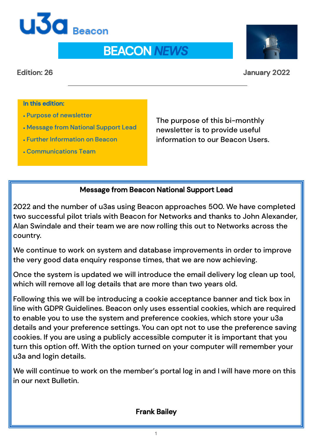

# BEACON *NEWS*

#### Edition: 26 January 2022

#### In this edition:

- Purpose of newsletter
- Message from National Support Lead
- Further Information on Beacon
- Communications Team

The purpose of this bi-monthly newsletter is to provide useful information to our Beacon Users.

#### Message from Beacon National Support Lead

2022 and the number of u3as using Beacon approaches 500. We have completed two successful pilot trials with Beacon for Networks and thanks to John Alexander, Alan Swindale and their team we are now rolling this out to Networks across the country.

We continue to work on system and database improvements in order to improve the very good data enquiry response times, that we are now achieving.

Once the system is updated we will introduce the email delivery log clean up tool, which will remove all log details that are more than two years old.

Following this we will be introducing a cookie acceptance banner and tick box in line with GDPR Guidelines. Beacon only uses essential cookies, which are required to enable you to use the system and preference cookies, which store your u3a details and your preference settings. You can opt not to use the preference saving cookies. If you are using a publicly accessible computer it is important that you turn this option off. With the option turned on your computer will remember your u3a and login details.

We will continue to work on the member's portal log in and I will have more on this in our next Bulletin.

#### Frank Bailey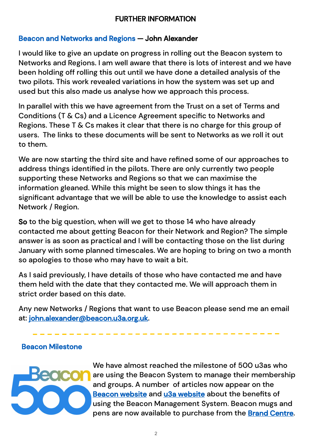# FURTHER INFORMATION

# Beacon and Networks and Regions — John Alexander

I would like to give an update on progress in rolling out the Beacon system to Networks and Regions. I am well aware that there is lots of interest and we have been holding off rolling this out until we have done a detailed analysis of the two pilots. This work revealed variations in how the system was set up and used but this also made us analyse how we approach this process.

In parallel with this we have agreement from the Trust on a set of Terms and Conditions (T & Cs) and a Licence Agreement specific to Networks and Regions. These T & Cs makes it clear that there is no charge for this group of users. The links to these documents will be sent to Networks as we roll it out to them.

We are now starting the third site and have refined some of our approaches to address things identified in the pilots. There are only currently two people supporting these Networks and Regions so that we can maximise the information gleaned. While this might be seen to slow things it has the significant advantage that we will be able to use the knowledge to assist each Network / Region.

So to the big question, when will we get to those 14 who have already contacted me about getting Beacon for their Network and Region? The simple answer is as soon as practical and I will be contacting those on the list during January with some planned timescales. We are hoping to bring on two a month so apologies to those who may have to wait a bit.

As I said previously, I have details of those who have contacted me and have them held with the date that they contacted me. We will approach them in strict order based on this date.

Any new Networks / Regions that want to use Beacon please send me an email at: [john.alexander@beacon.u3a.org.uk.](mailto:John.alexander@beacon.u3a.org.uk)

#### Beacon Milestone



We have almost reached the milestone of 500 u3as who are using the Beacon System to manage their membership and groups. A number of articles now appear on the [Beacon website](https://beacon.u3a.org.uk/news/) and [u3a website a](https://sources.u3a.org.uk/)bout the benefits of using the Beacon Management System. Beacon mugs and pens are now available to purchase from the [Brand Centre.](https://u3abrand.org.uk)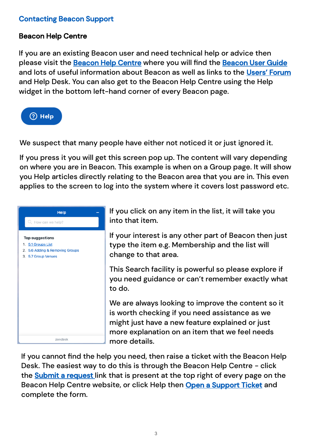# Contacting Beacon Support

#### Beacon Help Centre

If you are an existing Beacon user and need technical help or advice then please visit the [Beacon Help Centre](about:blank) where you will find the [Beacon User Guide](https://u3abeacon.zendesk.com/hc/en-gb/categories/360001240017-User-Guide) and lots of useful information about Beacon as well as links to the Users' Forum and Help Desk. You can also get to the Beacon Help Centre using the Help widget in the bottom left-hand corner of every Beacon page.



We suspect that many people have either not noticed it or just ignored it.

If you press it you will get this screen pop up. The content will vary depending on where you are in Beacon. This example is when on a Group page. It will show you Help articles directly relating to the Beacon area that you are in. This even applies to the screen to log into the system where it covers lost password etc.



If you click on any item in the list, it will take you into that item.

If your interest is any other part of Beacon then just type the item e.g. Membership and the list will change to that area.

This Search facility is powerful so please explore if you need guidance or can't remember exactly what to do.

We are always looking to improve the content so it is worth checking if you need assistance as we might just have a new feature explained or just more explanation on an item that we feel needs more details.

If you cannot find the help you need, then raise a ticket with the Beacon Help Desk. The easiest way to do this is through the Beacon Help Centre - click the **[Submit a request](about:blank)** link that is present at the top right of every page on the Beacon Help Centre website, or click Help then [Open a Support Ticket](about:blank) and complete the form.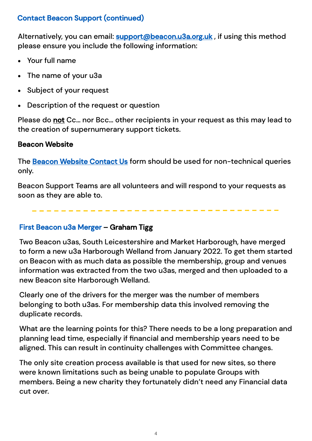# Contact Beacon Support (continued)

Alternatively, you can email: **support@beacon.u3a.org.uk**, if using this method please ensure you include the following information:

- Your full name
- The name of your u3a
- Subject of your request
- Description of the request or question

Please do not Cc... nor Bcc... other recipients in your request as this may lead to the creation of supernumerary support tickets.

# Beacon Website

The [Beacon Website Contact Us](https://beacon.u3a.org.uk/contact-us/) form should be used for non-technical queries only.

Beacon Support Teams are all volunteers and will respond to your requests as soon as they are able to.

#### First Beacon u3a Merger – Graham Tigg

Two Beacon u3as, South Leicestershire and Market Harborough, have merged to form a new u3a Harborough Welland from January 2022. To get them started on Beacon with as much data as possible the membership, group and venues information was extracted from the two u3as, merged and then uploaded to a new Beacon site Harborough Welland.

Clearly one of the drivers for the merger was the number of members belonging to both u3as. For membership data this involved removing the duplicate records.

What are the learning points for this? There needs to be a long preparation and planning lead time, especially if financial and membership years need to be aligned. This can result in continuity challenges with Committee changes.

The only site creation process available is that used for new sites, so there were known limitations such as being unable to populate Groups with members. Being a new charity they fortunately didn't need any Financial data cut over.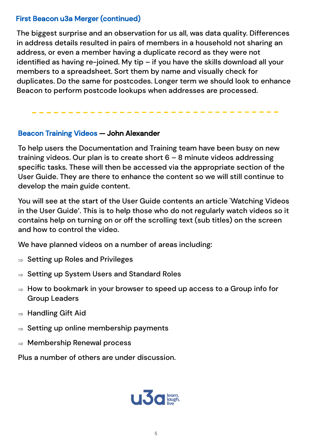# First Beacon u3a Merger (continued)

The biggest surprise and an observation for us all, was data quality. Differences in address details resulted in pairs of members in a household not sharing an address, or even a member having a duplicate record as they were not identified as having re-joined. My tip – if you have the skills download all your members to a spreadsheet. Sort them by name and visually check for duplicates. Do the same for postcodes. Longer term we should look to enhance Beacon to perform postcode lookups when addresses are processed.

#### Beacon Training Videos — John Alexander

To help users the Documentation and Training team have been busy on new training videos. Our plan is to create short 6 – 8 minute videos addressing specific tasks. These will then be accessed via the appropriate section of the User Guide. They are there to enhance the content so we will still continue to develop the main guide content.

You will see at the start of the User Guide contents an article 'Watching Videos in the User Guide'. This is to help those who do not regularly watch videos so it contains help on turning on or off the scrolling text (sub titles) on the screen and how to control the video.

We have planned videos on a number of areas including:

- $\Rightarrow$  Setting up Roles and Privileges
- $\Rightarrow$  Setting up System Users and Standard Roles
- $\Rightarrow$  How to bookmark in your browser to speed up access to a Group info for Group Leaders
- $\Rightarrow$  Handling Gift Aid
- $\Rightarrow$  Setting up online membership payments
- $\Rightarrow$  Membership Renewal process

Plus a number of others are under discussion.